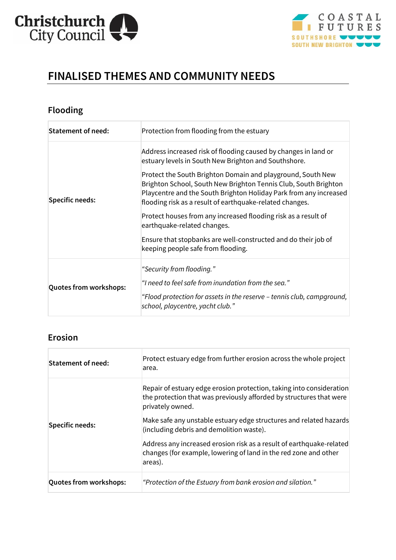



# **FINALISED THEMES AND COMMUNITY NEEDS**

# **Flooding**

| <b>Statement of need:</b>     | Protection from flooding from the estuary                                                                                                                                                                                                                                                                                                                                                                                                                                                                                                                                                           |
|-------------------------------|-----------------------------------------------------------------------------------------------------------------------------------------------------------------------------------------------------------------------------------------------------------------------------------------------------------------------------------------------------------------------------------------------------------------------------------------------------------------------------------------------------------------------------------------------------------------------------------------------------|
| <b>Specific needs:</b>        | Address increased risk of flooding caused by changes in land or<br>estuary levels in South New Brighton and Southshore.<br>Protect the South Brighton Domain and playground, South New<br>Brighton School, South New Brighton Tennis Club, South Brighton<br>Playcentre and the South Brighton Holiday Park from any increased<br>flooding risk as a result of earthquake-related changes.<br>Protect houses from any increased flooding risk as a result of<br>earthquake-related changes.<br>Ensure that stopbanks are well-constructed and do their job of<br>keeping people safe from flooding. |
| <b>Quotes from workshops:</b> | "Security from flooding."<br>"I need to feel safe from inundation from the sea."<br>"Flood protection for assets in the reserve – tennis club, campground,<br>school, playcentre, yacht club."                                                                                                                                                                                                                                                                                                                                                                                                      |

## **Erosion**

| <b>Statement of need:</b>     | Protect estuary edge from further erosion across the whole project<br>area.                                                                                     |
|-------------------------------|-----------------------------------------------------------------------------------------------------------------------------------------------------------------|
| Specific needs:               | Repair of estuary edge erosion protection, taking into consideration<br>the protection that was previously afforded by structures that were<br>privately owned. |
|                               | Make safe any unstable estuary edge structures and related hazards<br>(including debris and demolition waste).                                                  |
|                               | Address any increased erosion risk as a result of earthquake-related<br>changes (for example, lowering of land in the red zone and other<br>areas).             |
| <b>Quotes from workshops:</b> | "Protection of the Estuary from bank erosion and silation."                                                                                                     |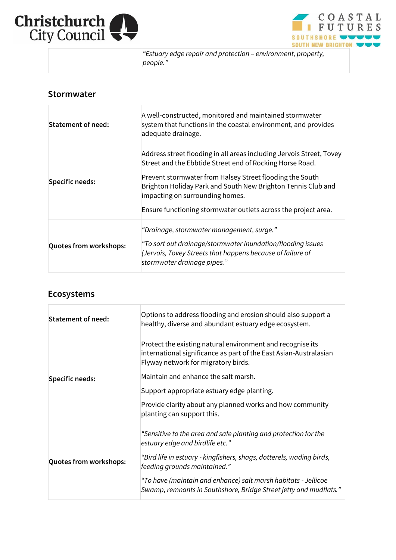



 *"Estuary edge repair and protection – environment, property, people."*

#### **Stormwater**

| <b>Statement of need:</b>     | A well-constructed, monitored and maintained stormwater<br>system that functions in the coastal environment, and provides<br>adequate drainage.                                                                                                                                                                                                                   |
|-------------------------------|-------------------------------------------------------------------------------------------------------------------------------------------------------------------------------------------------------------------------------------------------------------------------------------------------------------------------------------------------------------------|
| Specific needs:               | Address street flooding in all areas including Jervois Street, Tovey<br>Street and the Ebbtide Street end of Rocking Horse Road.<br>Prevent stormwater from Halsey Street flooding the South<br>Brighton Holiday Park and South New Brighton Tennis Club and<br>impacting on surrounding homes.<br>Ensure functioning stormwater outlets across the project area. |
| <b>Quotes from workshops:</b> | "Drainage, stormwater management, surge."<br>"To sort out drainage/stormwater inundation/flooding issues<br>(Jervois, Tovey Streets that happens because of failure of<br>stormwater drainage pipes."                                                                                                                                                             |

### **Ecosystems**

| <b>Statement of need:</b>     | Options to address flooding and erosion should also support a<br>healthy, diverse and abundant estuary edge ecosystem.                                                 |
|-------------------------------|------------------------------------------------------------------------------------------------------------------------------------------------------------------------|
| <b>Specific needs:</b>        | Protect the existing natural environment and recognise its<br>international significance as part of the East Asian-Australasian<br>Flyway network for migratory birds. |
|                               | Maintain and enhance the salt marsh.                                                                                                                                   |
|                               | Support appropriate estuary edge planting.                                                                                                                             |
|                               | Provide clarity about any planned works and how community<br>planting can support this.                                                                                |
| <b>Quotes from workshops:</b> | "Sensitive to the area and safe planting and protection for the<br>estuary edge and birdlife etc."                                                                     |
|                               | "Bird life in estuary - kingfishers, shags, dotterels, wading birds,<br>feeding grounds maintained."                                                                   |
|                               | "To have (maintain and enhance) salt marsh habitats - Jellicoe<br>Swamp, remnants in Southshore, Bridge Street jetty and mudflats."                                    |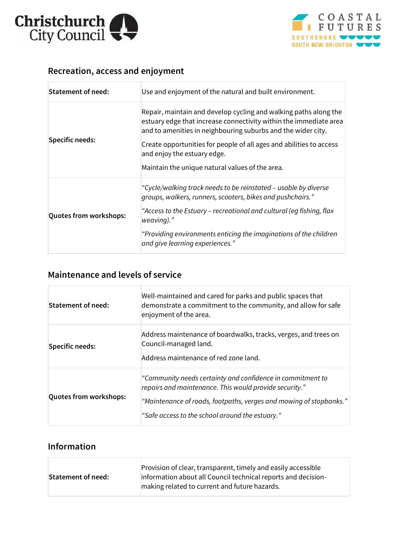



# **Recreation, access and enjoyment**

| <b>Statement of need:</b>     | Use and enjoyment of the natural and built environment.                                                                                                                                               |
|-------------------------------|-------------------------------------------------------------------------------------------------------------------------------------------------------------------------------------------------------|
| <b>Specific needs:</b>        | Repair, maintain and develop cycling and walking paths along the<br>estuary edge that increase connectivity within the immediate area<br>and to amenities in neighbouring suburbs and the wider city. |
|                               | Create opportunities for people of all ages and abilities to access<br>and enjoy the estuary edge.                                                                                                    |
|                               | Maintain the unique natural values of the area.                                                                                                                                                       |
| <b>Quotes from workshops:</b> | "Cycle/walking track needs to be reinstated - usable by diverse<br>groups, walkers, runners, scooters, bikes and pushchairs."                                                                         |
|                               | "Access to the Estuary – recreational and cultural (eq fishing, flax<br>weaving)."                                                                                                                    |
|                               | "Providing environments enticing the imaginations of the children<br>and give learning experiences."                                                                                                  |

# **Maintenance and levels of service**

| Statement of need:            | Well-maintained and cared for parks and public spaces that<br>demonstrate a commitment to the community, and allow for safe<br>enjoyment of the area.                                                                                         |
|-------------------------------|-----------------------------------------------------------------------------------------------------------------------------------------------------------------------------------------------------------------------------------------------|
| <b>Specific needs:</b>        | Address maintenance of boardwalks, tracks, verges, and trees on<br>Council-managed land.<br>Address maintenance of red zone land.                                                                                                             |
| <b>Quotes from workshops:</b> | "Community needs certainty and confidence in commitment to<br>repairs and maintenance. This would provide security."<br>"Maintenance of roads, footpaths, verges and mowing of stopbanks."<br>"Safe access to the school around the estuary." |

### **Information**

Г

| Statement of need: | Provision of clear, transparent, timely and easily accessible<br>information about all Council technical reports and decision-<br>making related to current and future hazards. |
|--------------------|---------------------------------------------------------------------------------------------------------------------------------------------------------------------------------|
|                    |                                                                                                                                                                                 |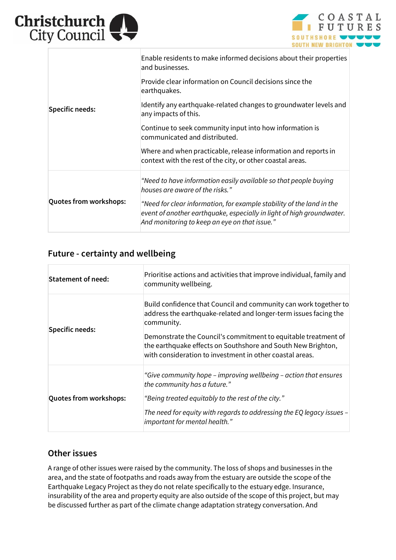



| <b>Specific needs:</b>        | Enable residents to make informed decisions about their properties<br>and businesses.                                                                                                           |
|-------------------------------|-------------------------------------------------------------------------------------------------------------------------------------------------------------------------------------------------|
|                               | Provide clear information on Council decisions since the<br>earthquakes.                                                                                                                        |
|                               | Identify any earthquake-related changes to groundwater levels and<br>any impacts of this.                                                                                                       |
|                               | Continue to seek community input into how information is<br>communicated and distributed.                                                                                                       |
|                               | Where and when practicable, release information and reports in<br>context with the rest of the city, or other coastal areas.                                                                    |
| <b>Quotes from workshops:</b> | "Need to have information easily available so that people buying<br>houses are aware of the risks."                                                                                             |
|                               | "Need for clear information, for example stability of the land in the<br>event of another earthquake, especially in light of high groundwater.<br>And monitoring to keep an eye on that issue." |

### **Future - certainty and wellbeing**

| <b>Statement of need:</b>     | Prioritise actions and activities that improve individual, family and<br>community wellbeing.                                                                                              |
|-------------------------------|--------------------------------------------------------------------------------------------------------------------------------------------------------------------------------------------|
| <b>Specific needs:</b>        | Build confidence that Council and community can work together to<br>address the earthquake-related and longer-term issues facing the<br>community.                                         |
|                               | Demonstrate the Council's commitment to equitable treatment of<br>the earthquake effects on Southshore and South New Brighton,<br>with consideration to investment in other coastal areas. |
| <b>Quotes from workshops:</b> | "Give community hope – improving wellbeing – action that ensures<br>the community has a future."                                                                                           |
|                               | "Being treated equitably to the rest of the city."                                                                                                                                         |
|                               | The need for equity with regards to addressing the EQ legacy issues -<br>important for mental health."                                                                                     |

### **Other issues**

A range of other issues were raised by the community. The loss of shops and businesses in the area, and the state of footpaths and roads away from the estuary are outside the scope of the Earthquake Legacy Project as they do not relate specifically to the estuary edge. Insurance, insurability of the area and property equity are also outside of the scope of this project, but may be discussed further as part of the climate change adaptation strategy conversation. And